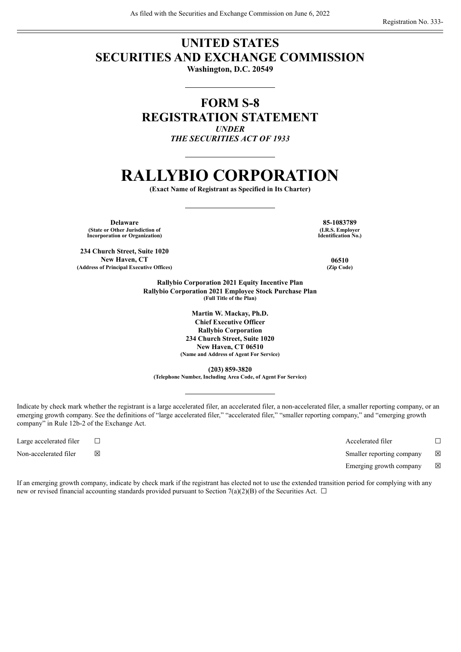# **UNITED STATES SECURITIES AND EXCHANGE COMMISSION**

**Washington, D.C. 20549**

# **FORM S-8 REGISTRATION STATEMENT** *UNDER THE SECURITIES ACT OF 1933*

# **RALLYBIO CORPORATION**

**(Exact Name of Registrant as Specified in Its Charter)**

**Delaware 85-1083789 (State or Other Jurisdiction of Incorporation or Organization)**

**234 Church Street, Suite 1020 New Haven, CT 06510 (Address of Principal Executive Offices) (Zip Code)**

**(I.R.S. Employer Identification No.)**

**Rallybio Corporation 2021 Equity Incentive Plan Rallybio Corporation 2021 Employee Stock Purchase Plan (Full Title of the Plan)**

> **Martin W. Mackay, Ph.D. Chief Executive Officer Rallybio Corporation 234 Church Street, Suite 1020 New Haven, CT 06510 (Name and Address of Agent For Service)**

**(203) 859-3820 (Telephone Number, Including Area Code, of Agent For Service)**

Indicate by check mark whether the registrant is a large accelerated filer, an accelerated filer, a non-accelerated filer, a smaller reporting company, or an emerging growth company. See the definitions of "large accelerated filer," "accelerated filer," "smaller reporting company," and "emerging growth company" in Rule 12b-2 of the Exchange Act.

Large accelerated filer ☐ Accelerated filer ☐

Non-accelerated filer ⊠ <br>
In Smaller reporting company ⊠

Emerging growth company  $\boxtimes$ 

If an emerging growth company, indicate by check mark if the registrant has elected not to use the extended transition period for complying with any new or revised financial accounting standards provided pursuant to Section 7(a)(2)(B) of the Securities Act.  $\Box$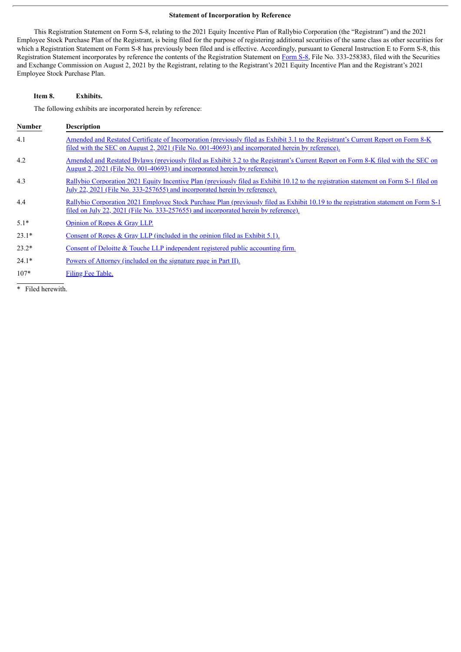# **Statement of Incorporation by Reference**

This Registration Statement on Form S-8, relating to the 2021 Equity Incentive Plan of Rallybio Corporation (the "Registrant") and the 2021 Employee Stock Purchase Plan of the Registrant, is being filed for the purpose of registering additional securities of the same class as other securities for which a Registration Statement on Form S-8 has previously been filed and is effective. Accordingly, pursuant to General Instruction E to Form S-8, this Registration Statement incorporates by reference the contents of the Registration Statement on [Form](http://www.sec.gov/Archives/edgar/data/0001739410/000119312521233473/d180473ds8.htm) S-8, File No. 333-258383, filed with the Securities and Exchange Commission on August 2, 2021 by the Registrant, relating to the Registrant's 2021 Equity Incentive Plan and the Registrant's 2021 Employee Stock Purchase Plan.

# **Item 8. Exhibits.**

The following exhibits are incorporated herein by reference:

| <b>Number</b> | <b>Description</b>                                                                                                                                                                                                                    |
|---------------|---------------------------------------------------------------------------------------------------------------------------------------------------------------------------------------------------------------------------------------|
| 4.1           | Amended and Restated Certificate of Incorporation (previously filed as Exhibit 3.1 to the Registrant's Current Report on Form 8-K<br>filed with the SEC on August 2, 2021 (File No. 001-40693) and incorporated herein by reference). |
| 4.2           | Amended and Restated Bylaws (previously filed as Exhibit 3.2 to the Registrant's Current Report on Form 8-K filed with the SEC on<br><u>August 2, 2021 (File No. 001-40693) and incorporated herein by reference).</u>                |
| 4.3           | Rallybio Corporation 2021 Equity Incentive Plan (previously filed as Exhibit 10.12 to the registration statement on Form S-1 filed on<br><u>July 22, 2021 (File No. 333-257655) and incorporated herein by reference).</u>            |
| 4.4           | Rallybio Corporation 2021 Employee Stock Purchase Plan (previously filed as Exhibit 10.19 to the registration statement on Form S-1<br><u>filed on July 22, 2021 (File No. 333-257655) and incorporated herein by reference).</u>     |
| $5.1*$        | Opinion of Ropes & Gray LLP.                                                                                                                                                                                                          |
| $23.1*$       | Consent of Ropes $&$ Gray LLP (included in the opinion filed as Exhibit 5.1).                                                                                                                                                         |
| $23.2*$       | Consent of Deloitte & Touche LLP independent registered public accounting firm.                                                                                                                                                       |
| $24.1*$       | Powers of Attorney (included on the signature page in Part II).                                                                                                                                                                       |
| $107*$        | Filing Fee Table.                                                                                                                                                                                                                     |

\* Filed herewith.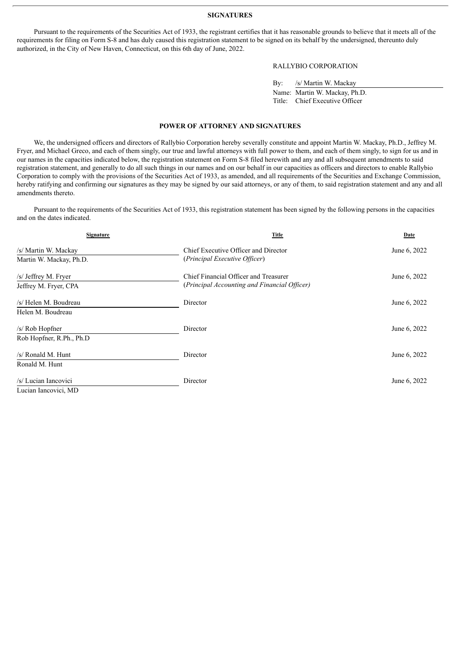#### **SIGNATURES**

Pursuant to the requirements of the Securities Act of 1933, the registrant certifies that it has reasonable grounds to believe that it meets all of the requirements for filing on Form S-8 and has duly caused this registration statement to be signed on its behalf by the undersigned, thereunto duly authorized, in the City of New Haven, Connecticut, on this 6th day of June, 2022.

# RALLYBIO CORPORATION

| $\mathbf{B} \mathbf{v}$ | /s/ Martin W. Mackay           |
|-------------------------|--------------------------------|
|                         | Name: Martin W. Mackay, Ph.D.  |
|                         | Title: Chief Executive Officer |

#### **POWER OF ATTORNEY AND SIGNATURES**

<span id="page-2-0"></span>We, the undersigned officers and directors of Rallybio Corporation hereby severally constitute and appoint Martin W. Mackay, Ph.D., Jeffrey M. Fryer, and Michael Greco, and each of them singly, our true and lawful attorneys with full power to them, and each of them singly, to sign for us and in our names in the capacities indicated below, the registration statement on Form S-8 filed herewith and any and all subsequent amendments to said registration statement, and generally to do all such things in our names and on our behalf in our capacities as officers and directors to enable Rallybio Corporation to comply with the provisions of the Securities Act of 1933, as amended, and all requirements of the Securities and Exchange Commission, hereby ratifying and confirming our signatures as they may be signed by our said attorneys, or any of them, to said registration statement and any and all amendments thereto.

Pursuant to the requirements of the Securities Act of 1933, this registration statement has been signed by the following persons in the capacities and on the dates indicated.

| <b>Signature</b>         | <b>Title</b>                                 | Date         |
|--------------------------|----------------------------------------------|--------------|
| /s/ Martin W. Mackay     | Chief Executive Officer and Director         | June 6, 2022 |
| Martin W. Mackay, Ph.D.  | (Principal Executive Officer)                |              |
| /s/ Jeffrey M. Fryer     | Chief Financial Officer and Treasurer        | June 6, 2022 |
| Jeffrey M. Fryer, CPA    | (Principal Accounting and Financial Officer) |              |
| /s/ Helen M. Boudreau    | Director                                     | June 6, 2022 |
| Helen M. Boudreau        |                                              |              |
| $/s/$ Rob Hopfner        | Director                                     | June 6, 2022 |
| Rob Hopfner, R.Ph., Ph.D |                                              |              |
| /s/ Ronald M. Hunt       | Director                                     | June 6, 2022 |
| Ronald M. Hunt           |                                              |              |
| /s/ Lucian Iancovici     | Director                                     | June 6, 2022 |
| Lucian Iancovici. MD     |                                              |              |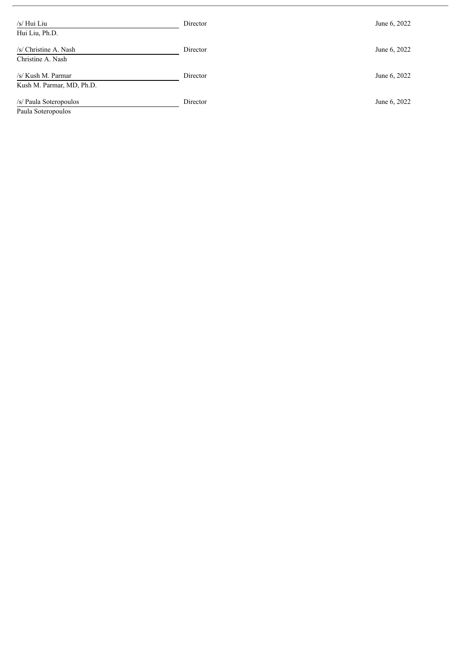| /s/ Hui Liu<br>Hui Liu, Ph.D.                   | Director | June 6, 2022 |
|-------------------------------------------------|----------|--------------|
| /s/ Christine A. Nash<br>Christine A. Nash      | Director | June 6, 2022 |
| /s/ Kush M. Parmar<br>Kush M. Parmar, MD, Ph.D. | Director | June 6, 2022 |
| /s/ Paula Soteropoulos<br>Paula Soteropoulos    | Director | June 6, 2022 |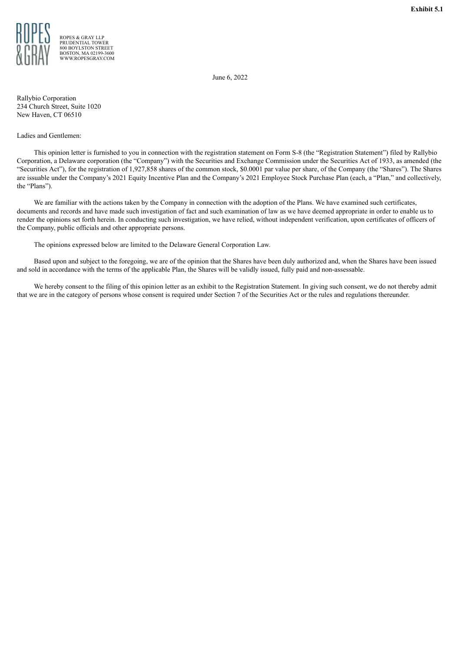

<span id="page-4-0"></span>

ROPES & GRAY LLP PRUDENTIAL TOWER 800 BOYLSTON STREET BOSTON, MA 02199-3600 WWW.ROPESGRAY.COM

June 6, 2022

Rallybio Corporation 234 Church Street, Suite 1020 New Haven, CT 06510

# Ladies and Gentlemen:

This opinion letter is furnished to you in connection with the registration statement on Form S-8 (the "Registration Statement") filed by Rallybio Corporation, a Delaware corporation (the "Company") with the Securities and Exchange Commission under the Securities Act of 1933, as amended (the "Securities Act"), for the registration of 1,927,858 shares of the common stock, \$0.0001 par value per share, of the Company (the "Shares"). The Shares are issuable under the Company's 2021 Equity Incentive Plan and the Company's 2021 Employee Stock Purchase Plan (each, a "Plan," and collectively, the "Plans").

We are familiar with the actions taken by the Company in connection with the adoption of the Plans. We have examined such certificates, documents and records and have made such investigation of fact and such examination of law as we have deemed appropriate in order to enable us to render the opinions set forth herein. In conducting such investigation, we have relied, without independent verification, upon certificates of officers of the Company, public officials and other appropriate persons.

The opinions expressed below are limited to the Delaware General Corporation Law.

Based upon and subject to the foregoing, we are of the opinion that the Shares have been duly authorized and, when the Shares have been issued and sold in accordance with the terms of the applicable Plan, the Shares will be validly issued, fully paid and non-assessable.

We hereby consent to the filing of this opinion letter as an exhibit to the Registration Statement. In giving such consent, we do not thereby admit that we are in the category of persons whose consent is required under Section 7 of the Securities Act or the rules and regulations thereunder.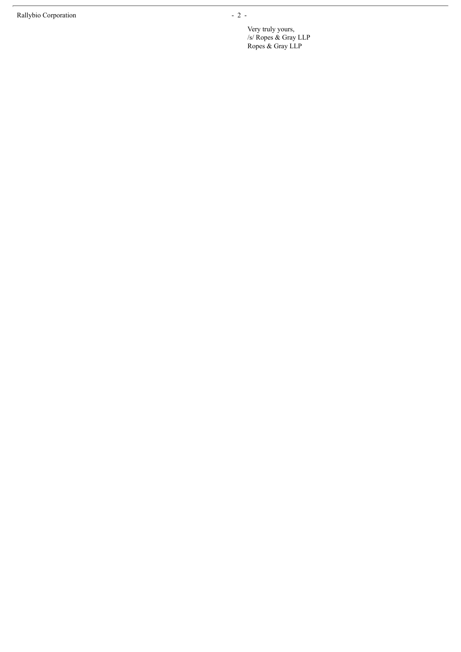Very truly yours, /s/ Ropes & Gray L L P Ropes & Gray LLP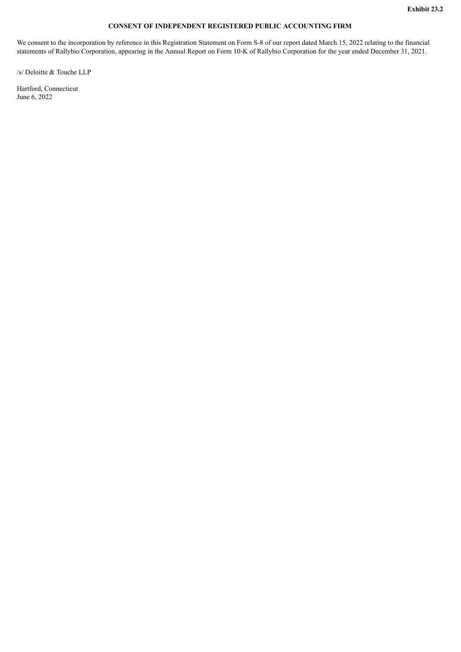# **CONSENT OF INDEPENDENT REGISTERED PUBLIC ACCOUNTING FIRM**

<span id="page-6-0"></span>We consent to the incorporation by reference in this Registration Statement on Form S-8 of our report dated March 15, 2022 relating to the financial statements of Rallybio Corporation, appearing in the Annual Report on Form 10-K of Rallybio Corporation for the year ended December 31, 2021.

/s/ Deloitte & Touche LLP

Hartford, Connecticut June 6, 2022